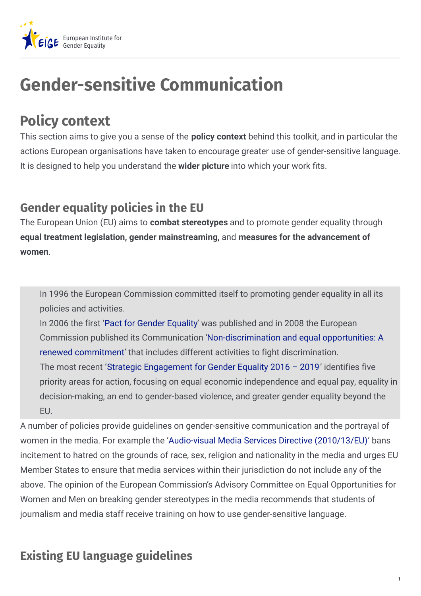

# **Gender-sensitive Communication**

## **Policy context**

This section aims to give you a sense of the **policy context** behind this toolkit, and in particular the actions European organisations have taken to encourage greater use of gender-sensitive language. It is designed to help you understand the **wider picture** into which your work fits.

## **Gender equality policies in the EU**

The European Union (EU) aims to **combat stereotypes** and to promote gender equality through **equal treatment legislation, gender mainstreaming,** and **measures for the advancement of women**.

In 1996 the European Commission committed itself to promoting gender equality in all its policies and activities.

In 2006 the first 'Pact for Gender [Equality](https://ec.europa.eu/research/era/docs/en/council-eu-15.pdf)' was published and in 2008 the European Commission published its Communication ['Non-discrimination](https://eur-lex.europa.eu/legal-content/en/TXT/?uri=CELEX%3A52008DC0420) and equal opportunities: A renewed commitment' that includes different activities to fight discrimination.

The most recent 'Strategic [Engagement](https://ec.europa.eu/anti-trafficking/eu-policy/strategic-engagement-gender-equality-2016-2019_en) for Gender Equality 2016 – 2019' identifies five priority areas for action, focusing on equal economic independence and equal pay, equality in decision-making, an end to gender-based violence, and greater gender equality beyond the EU.

A number of policies provide guidelines on gender-sensitive communication and the portrayal of women in the media. For example the 'Audio-visual Media Services Directive [\(2010/13/EU\)](https://eur-lex.europa.eu/legal-content/EN/ALL/?uri=CELEX%3A32010L0013)' bans incitement to hatred on the grounds of race, sex, religion and nationality in the media and urges EU Member States to ensure that media services within their jurisdiction do not include any of the above. The opinion of the European Commission's Advisory Committee on Equal Opportunities for Women and Men on breaking gender stereotypes in the media recommends that students of journalism and media staff receive training on how to use gender-sensitive language.

## **Existing EU language guidelines**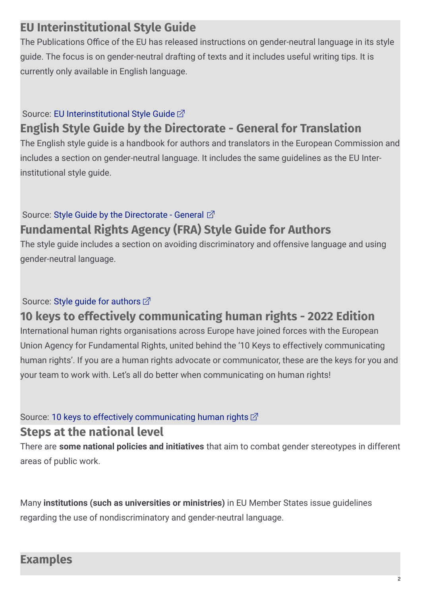### **EU Interinstitutional Style Guide**

The Publications Office of the EU has released instructions on gender-neutral language in its style guide. The focus is on gender-neutral drafting of texts and it includes useful writing tips. It is currently only available in English language.

#### Source: EU [Interinstitutional](https://publications.europa.eu/code/en/en-4100600en.htm) Style Guide  $\vec{\triangle}$

## **English Style Guide by the Directorate - General for Translation**

The English style guide is a handbook for authors and translators in the European Commission and includes a section on gender-neutral language. It includes the same guidelines as the EU Interinstitutional style guide.

### Source: Style Guide by the [Directorate](https://ec.europa.eu/info/sites/info/files/styleguide_english_dgt_en.pdf) - General  $\mathbb Z$ **Fundamental Rights Agency (FRA) Style Guide for Authors**

The style guide includes a section on avoiding discriminatory and offensive language and using gender-neutral language.

#### Source: Style guide for [authors](http://fra.europa.eu/sites/default/files/fra-2012-style-guide-for-authors_en.pdf)  $□$

**10 keys to effectively communicating human rights - 2022 Edition** International human rights organisations across Europe have joined forces with the European Union Agency for Fundamental Rights, united behind the '10 Keys to effectively communicating human rights'. If you are a human rights advocate or communicator, these are the keys for you and your team to work with. Let's all do better when communicating on human rights!

#### Source: 10 keys to effectively [communicating](https://fra.europa.eu/en/publication/2022/10-keys-effectively-communicating-human-rights-2022-edition) human rights  $\mathbb{Z}$

#### **Steps at the national level**

There are **some national policies and initiatives** that aim to combat gender stereotypes in different areas of public work.

Many **institutions (such as universities or ministries)** in EU Member States issue guidelines regarding the use of nondiscriminatory and gender-neutral language.

#### **Examples**